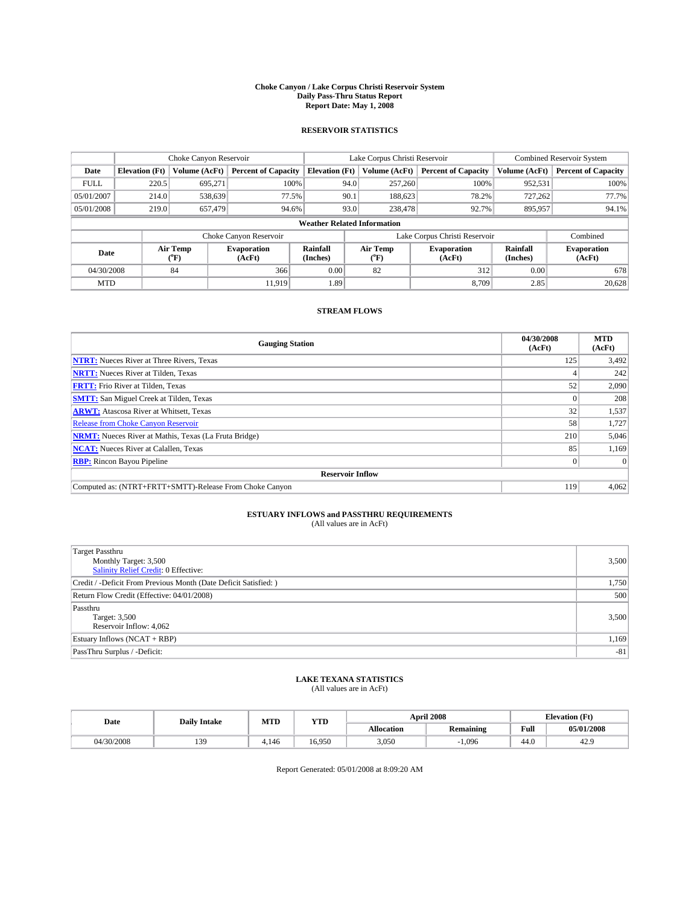#### **Choke Canyon / Lake Corpus Christi Reservoir System Daily Pass-Thru Status Report Report Date: May 1, 2008**

#### **RESERVOIR STATISTICS**

|             | Choke Canyon Reservoir             |                  |                              |                       | Lake Corpus Christi Reservoir |                  |                               |                      | <b>Combined Reservoir System</b> |  |  |
|-------------|------------------------------------|------------------|------------------------------|-----------------------|-------------------------------|------------------|-------------------------------|----------------------|----------------------------------|--|--|
| Date        | <b>Elevation</b> (Ft)              | Volume (AcFt)    | <b>Percent of Capacity</b>   | <b>Elevation</b> (Ft) |                               | Volume (AcFt)    | <b>Percent of Capacity</b>    | Volume (AcFt)        | <b>Percent of Capacity</b>       |  |  |
| <b>FULL</b> | 220.5                              | 695,271          |                              | 100%                  | 94.0                          | 257,260          | 100%                          | 952,531              | 100%                             |  |  |
| 05/01/2007  | 214.0                              | 538,639          | 77.5%                        |                       | 90.1                          | 188,623          | 78.2%                         | 727,262              | 77.7%                            |  |  |
| 05/01/2008  | 219.0                              | 657,479          | 94.6%                        |                       | 93.0                          | 238,478          | 92.7%                         | 895,957              | 94.1%                            |  |  |
|             | <b>Weather Related Information</b> |                  |                              |                       |                               |                  |                               |                      |                                  |  |  |
|             |                                    |                  | Choke Canyon Reservoir       |                       |                               |                  | Lake Corpus Christi Reservoir |                      | Combined                         |  |  |
| Date        |                                    | Air Temp<br>(°F) | <b>Evaporation</b><br>(AcFt) | Rainfall<br>(Inches)  |                               | Air Temp<br>("F) | <b>Evaporation</b><br>(AcFt)  | Rainfall<br>(Inches) | <b>Evaporation</b><br>(AcFt)     |  |  |
| 04/30/2008  |                                    | 84               | 366                          | 0.00                  |                               | 82               | 312                           | 0.00                 | 678                              |  |  |
| <b>MTD</b>  |                                    |                  | 11.919                       | 1.89                  |                               |                  | 8.709                         | 2.85                 | 20,628                           |  |  |

### **STREAM FLOWS**

| <b>Gauging Station</b>                                       | 04/30/2008<br>(AcFt) | <b>MTD</b><br>(AcFt) |
|--------------------------------------------------------------|----------------------|----------------------|
| <b>NTRT:</b> Nueces River at Three Rivers, Texas             | 125                  | 3,492                |
| <b>NRTT:</b> Nueces River at Tilden, Texas                   |                      | 242                  |
| <b>FRTT:</b> Frio River at Tilden, Texas                     | 52                   | 2,090                |
| <b>SMTT:</b> San Miguel Creek at Tilden, Texas               |                      | 208                  |
| <b>ARWT:</b> Atascosa River at Whitsett, Texas               | 32                   | 1,537                |
| <b>Release from Choke Canyon Reservoir</b>                   | 58                   | 1,727                |
| <b>NRMT:</b> Nueces River at Mathis, Texas (La Fruta Bridge) | 210                  | 5,046                |
| <b>NCAT:</b> Nueces River at Calallen, Texas                 | 85                   | 1,169                |
| <b>RBP:</b> Rincon Bayou Pipeline                            | $\vert 0 \vert$      |                      |
| <b>Reservoir Inflow</b>                                      |                      |                      |
| Computed as: (NTRT+FRTT+SMTT)-Release From Choke Canyon      | 119                  | 4,062                |

# **ESTUARY INFLOWS and PASSTHRU REQUIREMENTS**<br>(All values are in AcFt)

| <b>Target Passthru</b>                                           |       |
|------------------------------------------------------------------|-------|
| Monthly Target: 3,500                                            | 3,500 |
| <b>Salinity Relief Credit: 0 Effective:</b>                      |       |
| Credit / -Deficit From Previous Month (Date Deficit Satisfied: ) | 1,750 |
| Return Flow Credit (Effective: 04/01/2008)                       | 500   |
| Passthru                                                         |       |
| Target: 3,500                                                    | 3,500 |
| Reservoir Inflow: 4,062                                          |       |
| Estuary Inflows (NCAT + RBP)                                     | 1,169 |
| PassThru Surplus / -Deficit:                                     | $-81$ |
|                                                                  |       |

## **LAKE TEXANA STATISTICS** (All values are in AcFt)

| Date |            | <b>Daily Intake</b> | MTD   | <b>YTD</b> |            | <b>April 2008</b> | <b>Elevation</b> (Ft)                       |            |
|------|------------|---------------------|-------|------------|------------|-------------------|---------------------------------------------|------------|
|      |            |                     |       |            | Allocation | <b>Remaining</b>  | Full<br>the contract of the contract of the | 05/01/2008 |
|      | 04/30/2008 | 13Q                 | 4.146 | 16.950     | 3,050      | 1.096             | 44.0                                        | 44.        |

Report Generated: 05/01/2008 at 8:09:20 AM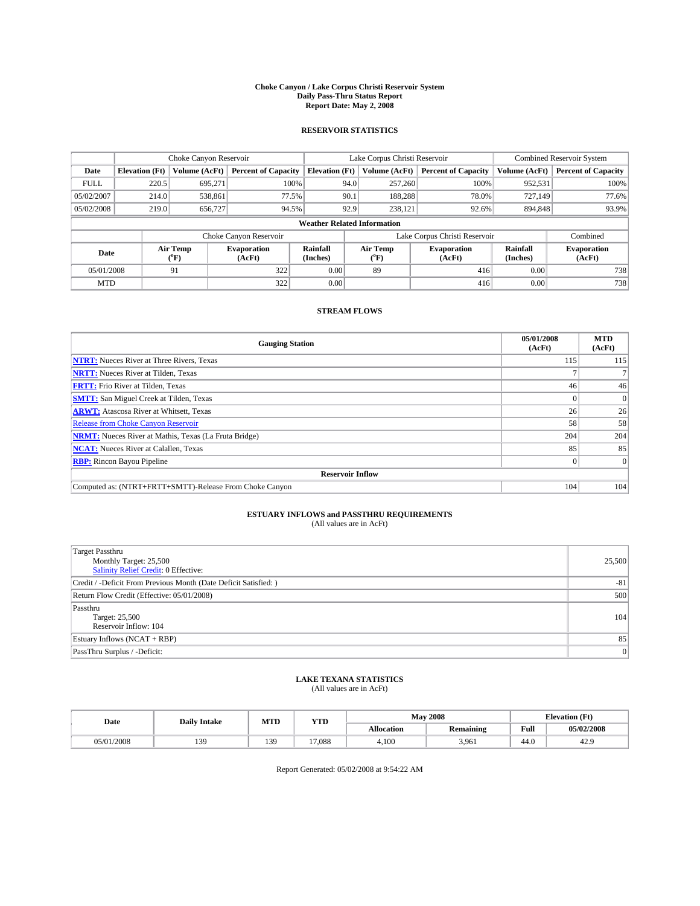#### **Choke Canyon / Lake Corpus Christi Reservoir System Daily Pass-Thru Status Report Report Date: May 2, 2008**

#### **RESERVOIR STATISTICS**

|             | Choke Canyon Reservoir             |                  |                            |                       | Lake Corpus Christi Reservoir |                  |                               |                      | <b>Combined Reservoir System</b> |  |  |
|-------------|------------------------------------|------------------|----------------------------|-----------------------|-------------------------------|------------------|-------------------------------|----------------------|----------------------------------|--|--|
| Date        | <b>Elevation</b> (Ft)              | Volume (AcFt)    | <b>Percent of Capacity</b> | <b>Elevation</b> (Ft) |                               | Volume (AcFt)    | <b>Percent of Capacity</b>    | Volume (AcFt)        | <b>Percent of Capacity</b>       |  |  |
| <b>FULL</b> | 220.5                              | 695,271          | 100%                       |                       | 94.0                          | 257,260          | 100%                          | 952,531              | 100%                             |  |  |
| 05/02/2007  | 214.0                              | 538,861          | 77.5%                      |                       | 90.1                          | 188.288          | 78.0%                         | 727,149              | 77.6%                            |  |  |
| 05/02/2008  | 219.0                              | 656,727          | 94.5%                      |                       | 92.9                          | 238.121          | 92.6%                         | 894.848              | 93.9%                            |  |  |
|             | <b>Weather Related Information</b> |                  |                            |                       |                               |                  |                               |                      |                                  |  |  |
|             |                                    |                  | Choke Canyon Reservoir     |                       |                               |                  | Lake Corpus Christi Reservoir |                      | Combined                         |  |  |
| Date        |                                    | Air Temp<br>(°F) | Evaporation<br>(AcFt)      | Rainfall<br>(Inches)  |                               | Air Temp<br>("F) | <b>Evaporation</b><br>(AcFt)  | Rainfall<br>(Inches) | <b>Evaporation</b><br>(AcFt)     |  |  |
| 05/01/2008  |                                    | 91               | 322                        | 0.00                  |                               | 89               | 416                           | 0.00                 | 738                              |  |  |
| <b>MTD</b>  |                                    |                  | 322                        | 0.00                  |                               |                  | 416                           | 0.00                 | 738                              |  |  |

### **STREAM FLOWS**

| <b>Gauging Station</b>                                       | 05/01/2008<br>(AcFt) | <b>MTD</b><br>(AcFt) |
|--------------------------------------------------------------|----------------------|----------------------|
| <b>NTRT:</b> Nueces River at Three Rivers, Texas             | 115                  | 115                  |
| <b>NRTT:</b> Nueces River at Tilden, Texas                   |                      |                      |
| <b>FRTT:</b> Frio River at Tilden, Texas                     | 46                   | 46                   |
| <b>SMTT:</b> San Miguel Creek at Tilden, Texas               |                      |                      |
| <b>ARWT:</b> Atascosa River at Whitsett, Texas               | 26                   | 26                   |
| <b>Release from Choke Canyon Reservoir</b>                   | 58                   | 58                   |
| <b>NRMT:</b> Nueces River at Mathis, Texas (La Fruta Bridge) | 204                  | 204                  |
| <b>NCAT:</b> Nueces River at Calallen, Texas                 | 85                   | 85                   |
| <b>RBP:</b> Rincon Bayou Pipeline                            | $\overline{0}$       | $\Omega$             |
| <b>Reservoir Inflow</b>                                      |                      |                      |
| Computed as: (NTRT+FRTT+SMTT)-Release From Choke Canyon      | 104                  | 104                  |

# **ESTUARY INFLOWS and PASSTHRU REQUIREMENTS**<br>(All values are in AcFt)

| Target Passthru<br>Monthly Target: 25,500<br>Salinity Relief Credit: 0 Effective: | 25,500 |
|-----------------------------------------------------------------------------------|--------|
| Credit / -Deficit From Previous Month (Date Deficit Satisfied: )                  | $-81$  |
| Return Flow Credit (Effective: 05/01/2008)                                        | 500    |
| Passthru<br>Target: 25,500<br>Reservoir Inflow: 104                               | 104    |
| Estuary Inflows $(NCAT + RBP)$                                                    | 85     |
| PassThru Surplus / -Deficit:                                                      | 0      |

## **LAKE TEXANA STATISTICS** (All values are in AcFt)

|  | Date           | <b>Daily Intake</b> | MTD | <b>YTD</b> |            | <b>May 2008</b> | <b>Elevation</b> (Ft) |            |
|--|----------------|---------------------|-----|------------|------------|-----------------|-----------------------|------------|
|  |                |                     |     |            | Allocation | Remaining       | Full                  | 05/02/2008 |
|  | /2008<br>05/01 | 120<br>⊾ک≻<br>.     | 139 | 17.088     | 4.100      | 3.961           | 44.0                  | 42.1       |

Report Generated: 05/02/2008 at 9:54:22 AM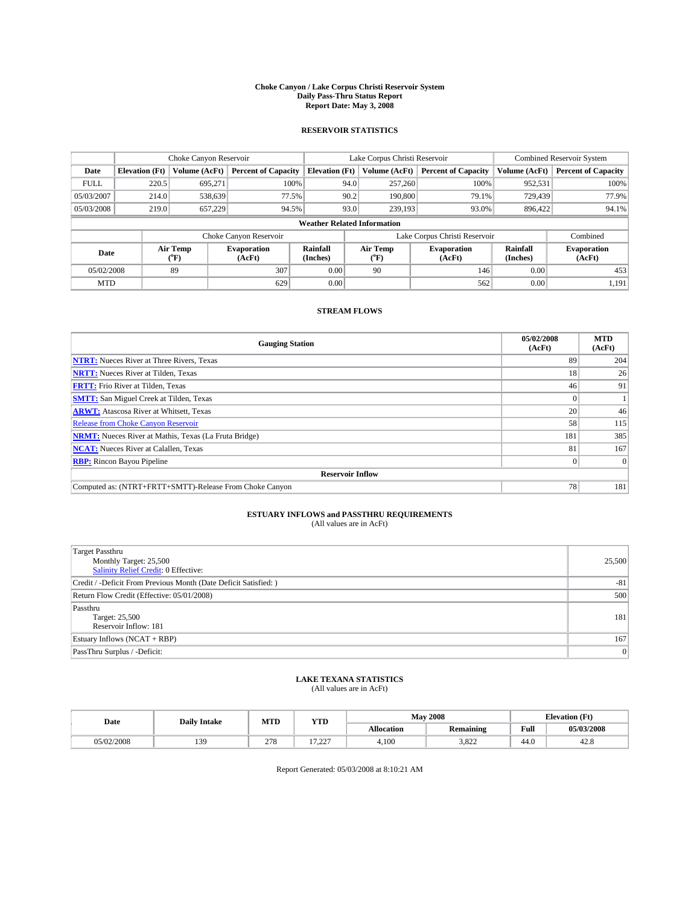#### **Choke Canyon / Lake Corpus Christi Reservoir System Daily Pass-Thru Status Report Report Date: May 3, 2008**

#### **RESERVOIR STATISTICS**

|                                    | Choke Canyon Reservoir |                  |                              |                       | Lake Corpus Christi Reservoir |                  |                               |                      | <b>Combined Reservoir System</b> |  |
|------------------------------------|------------------------|------------------|------------------------------|-----------------------|-------------------------------|------------------|-------------------------------|----------------------|----------------------------------|--|
| Date                               | <b>Elevation</b> (Ft)  | Volume (AcFt)    | <b>Percent of Capacity</b>   | <b>Elevation</b> (Ft) |                               | Volume (AcFt)    | <b>Percent of Capacity</b>    | Volume (AcFt)        | <b>Percent of Capacity</b>       |  |
| <b>FULL</b>                        | 220.5                  | 695,271          | 100%                         |                       | 94.0                          | 257,260          | 100%                          | 952,531              | 100%                             |  |
| 05/03/2007                         | 214.0                  | 538,639          | 77.5%                        |                       | 90.2                          | 190,800          | 79.1%                         | 729.439              | 77.9%                            |  |
| 05/03/2008                         | 219.0                  | 657,229          | 94.5%                        |                       | 93.0                          | 239,193          | 93.0%                         | 896.422              | 94.1%                            |  |
| <b>Weather Related Information</b> |                        |                  |                              |                       |                               |                  |                               |                      |                                  |  |
|                                    |                        |                  | Choke Canyon Reservoir       |                       |                               |                  | Lake Corpus Christi Reservoir |                      | Combined                         |  |
| Date                               |                        | Air Temp<br>(°F) | <b>Evaporation</b><br>(AcFt) | Rainfall<br>(Inches)  |                               | Air Temp<br>("F) | <b>Evaporation</b><br>(AcFt)  | Rainfall<br>(Inches) | <b>Evaporation</b><br>(AcFt)     |  |
| 05/02/2008                         |                        | 89               | 307                          | 0.00                  |                               | 90               | 146                           | 0.00                 | 453                              |  |
| <b>MTD</b>                         |                        |                  | 629                          | 0.00                  |                               |                  | 562                           | 0.00                 | 1,191                            |  |

### **STREAM FLOWS**

| <b>Gauging Station</b>                                       | 05/02/2008<br>(AcFt) | <b>MTD</b><br>(AcFt) |
|--------------------------------------------------------------|----------------------|----------------------|
| <b>NTRT:</b> Nueces River at Three Rivers, Texas             | 89                   | 204                  |
| <b>NRTT:</b> Nueces River at Tilden, Texas                   | 18                   | 26                   |
| <b>FRTT:</b> Frio River at Tilden, Texas                     | 46                   | 91                   |
| <b>SMTT:</b> San Miguel Creek at Tilden, Texas               |                      |                      |
| <b>ARWT:</b> Atascosa River at Whitsett, Texas               | 20                   | 46                   |
| <b>Release from Choke Canyon Reservoir</b>                   | 58                   | 115                  |
| <b>NRMT:</b> Nueces River at Mathis, Texas (La Fruta Bridge) | 181                  | 385                  |
| <b>NCAT:</b> Nueces River at Calallen, Texas                 | 81                   | 167                  |
| <b>RBP:</b> Rincon Bayou Pipeline                            | $\overline{0}$       |                      |
| <b>Reservoir Inflow</b>                                      |                      |                      |
| Computed as: (NTRT+FRTT+SMTT)-Release From Choke Canyon      | 78                   | 181                  |

# **ESTUARY INFLOWS and PASSTHRU REQUIREMENTS**<br>(All values are in AcFt)

| Target Passthru<br>Monthly Target: 25,500                        | 25,500         |
|------------------------------------------------------------------|----------------|
| <b>Salinity Relief Credit: 0 Effective:</b>                      |                |
| Credit / -Deficit From Previous Month (Date Deficit Satisfied: ) | $-81$          |
| Return Flow Credit (Effective: 05/01/2008)                       | 500            |
| Passthru                                                         |                |
| Target: 25,500                                                   | 181            |
| Reservoir Inflow: 181                                            |                |
| Estuary Inflows (NCAT + RBP)                                     | 167            |
| PassThru Surplus / -Deficit:                                     | $\overline{0}$ |

## **LAKE TEXANA STATISTICS** (All values are in AcFt)

| Date       | <b>Daily Intake</b> | MTD | ww<br>Y I D |                   | <b>May 2008</b>  | <b>Elevation</b> (Ft)                   |            |
|------------|---------------------|-----|-------------|-------------------|------------------|-----------------------------------------|------------|
|            |                     |     |             | <b>Allocation</b> | <b>Remaining</b> | Full<br>the contract of the contract of | 05/03/2008 |
| 05/02/2008 | 130                 | 278 | 17.22       | 4.100             | 3.822            | 44.0                                    | 0.<br>42.8 |

Report Generated: 05/03/2008 at 8:10:21 AM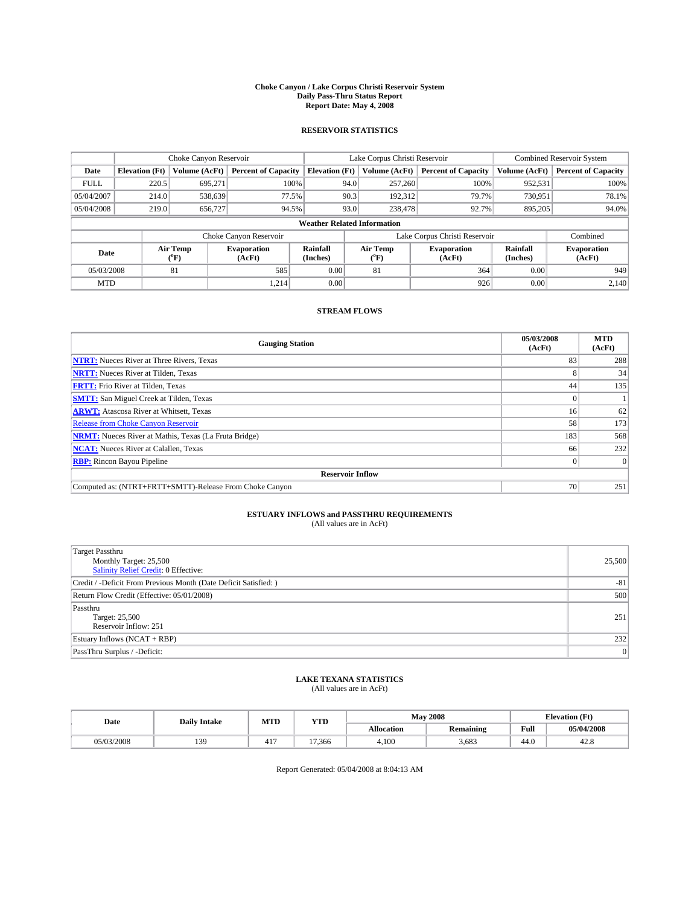#### **Choke Canyon / Lake Corpus Christi Reservoir System Daily Pass-Thru Status Report Report Date: May 4, 2008**

#### **RESERVOIR STATISTICS**

|             | Choke Canyon Reservoir             |                  |                              |                       | Lake Corpus Christi Reservoir |                  |                               |                      | <b>Combined Reservoir System</b> |  |
|-------------|------------------------------------|------------------|------------------------------|-----------------------|-------------------------------|------------------|-------------------------------|----------------------|----------------------------------|--|
| Date        | <b>Elevation</b> (Ft)              | Volume (AcFt)    | <b>Percent of Capacity</b>   | <b>Elevation</b> (Ft) |                               | Volume (AcFt)    | <b>Percent of Capacity</b>    | Volume (AcFt)        | <b>Percent of Capacity</b>       |  |
| <b>FULL</b> | 220.5                              | 695,271          | 100%                         |                       | 94.0                          | 257,260          | 100%                          | 952,531              | 100%                             |  |
| 05/04/2007  | 214.0                              | 538,639          | 77.5%                        |                       | 90.3                          | 192,312          | 79.7%                         | 730,951              | 78.1%                            |  |
| 05/04/2008  | 219.0                              | 656,727          | 94.5%                        |                       | 93.0                          | 238,478          | 92.7%                         | 895.205              | 94.0%                            |  |
|             | <b>Weather Related Information</b> |                  |                              |                       |                               |                  |                               |                      |                                  |  |
|             |                                    |                  | Choke Canyon Reservoir       |                       |                               |                  | Lake Corpus Christi Reservoir |                      | Combined                         |  |
| Date        |                                    | Air Temp<br>(°F) | <b>Evaporation</b><br>(AcFt) | Rainfall<br>(Inches)  |                               | Air Temp<br>("F) | <b>Evaporation</b><br>(AcFt)  | Rainfall<br>(Inches) | <b>Evaporation</b><br>(AcFt)     |  |
| 05/03/2008  |                                    | 81               | 585                          | 0.00                  |                               | 81               | 364                           | 0.00                 | 949                              |  |
| <b>MTD</b>  |                                    |                  | 1.214                        | 0.00                  |                               |                  | 926                           | 0.00                 | 2,140                            |  |

### **STREAM FLOWS**

| <b>Gauging Station</b>                                       | 05/03/2008<br>(AcFt) | <b>MTD</b><br>(AcFt) |
|--------------------------------------------------------------|----------------------|----------------------|
| <b>NTRT:</b> Nueces River at Three Rivers, Texas             | 83                   | 288                  |
| <b>NRTT:</b> Nueces River at Tilden, Texas                   |                      | 34                   |
| <b>FRTT:</b> Frio River at Tilden, Texas                     | 44                   | 135                  |
| <b>SMTT:</b> San Miguel Creek at Tilden, Texas               |                      |                      |
| <b>ARWT:</b> Atascosa River at Whitsett, Texas               | 16 <sup>1</sup>      | 62                   |
| <b>Release from Choke Canyon Reservoir</b>                   | 58                   | 173                  |
| <b>NRMT:</b> Nueces River at Mathis, Texas (La Fruta Bridge) | 183                  | 568                  |
| <b>NCAT:</b> Nueces River at Calallen, Texas                 | 66                   | 232                  |
| <b>RBP:</b> Rincon Bayou Pipeline                            | $\overline{0}$       |                      |
| <b>Reservoir Inflow</b>                                      |                      |                      |
| Computed as: (NTRT+FRTT+SMTT)-Release From Choke Canyon      | 70                   | 251                  |

# **ESTUARY INFLOWS and PASSTHRU REQUIREMENTS**<br>(All values are in AcFt)

| <b>Target Passthru</b><br>Monthly Target: 25,500<br>Salinity Relief Credit: 0 Effective: | 25,500 |
|------------------------------------------------------------------------------------------|--------|
| Credit / -Deficit From Previous Month (Date Deficit Satisfied: )                         | $-81$  |
| Return Flow Credit (Effective: 05/01/2008)                                               | 500    |
| Passthru<br>Target: 25,500<br>Reservoir Inflow: 251                                      | 251    |
| Estuary Inflows (NCAT + RBP)                                                             | 232    |
| PassThru Surplus / -Deficit:                                                             | 0      |

## **LAKE TEXANA STATISTICS** (All values are in AcFt)

| Date       | <b>Daily Intake</b> | MTD | YTD    |                   | <b>May 2008</b>  |                                         | <b>Elevation</b> (Ft) |
|------------|---------------------|-----|--------|-------------------|------------------|-----------------------------------------|-----------------------|
|            |                     |     |        | <b>Allocation</b> | <b>Remaining</b> | Full<br>the contract of the contract of | 05/04/2008            |
| 05/03/2008 | 130                 | 417 | 17.366 | 4.100             | 3.683            | 44.0                                    | າດ<br>42.8            |

Report Generated: 05/04/2008 at 8:04:13 AM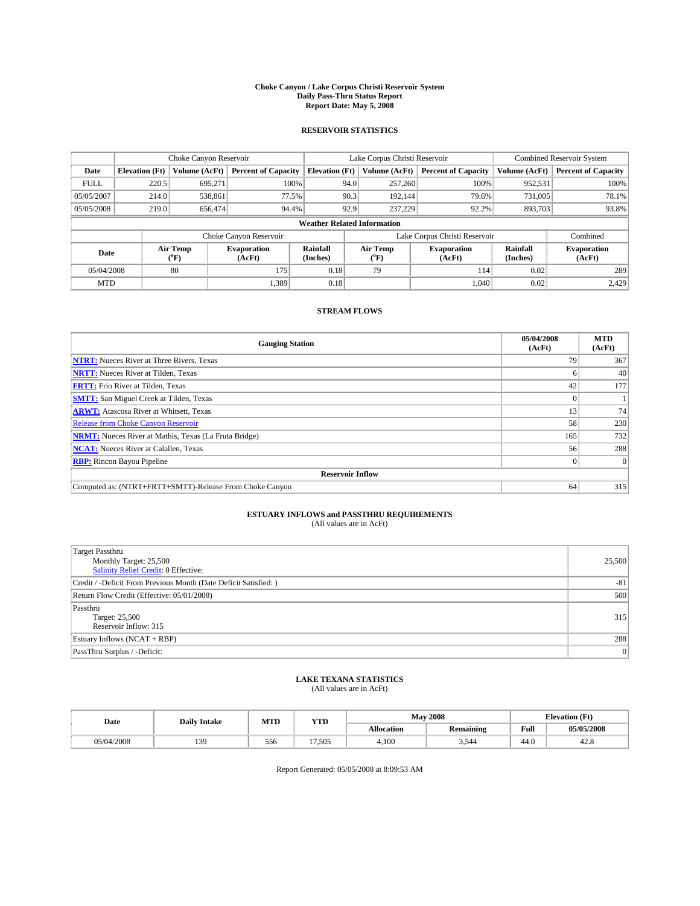#### **Choke Canyon / Lake Corpus Christi Reservoir System Daily Pass-Thru Status Report Report Date: May 5, 2008**

#### **RESERVOIR STATISTICS**

|             | Choke Canyon Reservoir             |                  |                              |                       | Lake Corpus Christi Reservoir |                  |                               |                      | <b>Combined Reservoir System</b> |  |
|-------------|------------------------------------|------------------|------------------------------|-----------------------|-------------------------------|------------------|-------------------------------|----------------------|----------------------------------|--|
| Date        | <b>Elevation</b> (Ft)              | Volume (AcFt)    | <b>Percent of Capacity</b>   | <b>Elevation</b> (Ft) |                               | Volume (AcFt)    | <b>Percent of Capacity</b>    | Volume (AcFt)        | <b>Percent of Capacity</b>       |  |
| <b>FULL</b> | 220.5                              | 695,271          |                              | 100%                  | 94.0                          | 257,260          | 100%                          | 952,531              | 100%                             |  |
| 05/05/2007  | 214.0                              | 538,861          | 77.5%                        |                       | 90.3                          | 192.144          | 79.6%                         | 731,005              | 78.1%                            |  |
| 05/05/2008  | 219.0                              | 656,474          | 94.4%                        |                       | 92.9                          | 237,229          | 92.2%                         | 893,703              | 93.8%                            |  |
|             | <b>Weather Related Information</b> |                  |                              |                       |                               |                  |                               |                      |                                  |  |
|             |                                    |                  | Choke Canyon Reservoir       |                       |                               |                  | Lake Corpus Christi Reservoir |                      | Combined                         |  |
| Date        |                                    | Air Temp<br>(°F) | <b>Evaporation</b><br>(AcFt) | Rainfall<br>(Inches)  |                               | Air Temp<br>("F) | <b>Evaporation</b><br>(AcFt)  | Rainfall<br>(Inches) | <b>Evaporation</b><br>(AcFt)     |  |
| 05/04/2008  |                                    | 80               | 175                          | 0.18                  |                               | 79               | 114                           | 0.02                 | 289                              |  |
| <b>MTD</b>  |                                    |                  | 1,389                        | 0.18                  |                               |                  | 1,040                         | 0.02                 | 2,429                            |  |

### **STREAM FLOWS**

| <b>Gauging Station</b>                                       | 05/04/2008<br>(AcFt) | <b>MTD</b><br>(AcFt) |
|--------------------------------------------------------------|----------------------|----------------------|
| <b>NTRT:</b> Nueces River at Three Rivers, Texas             | 79                   | 367                  |
| <b>NRTT:</b> Nueces River at Tilden, Texas                   |                      | 40                   |
| <b>FRTT:</b> Frio River at Tilden, Texas                     | 42                   | 177                  |
| <b>SMTT:</b> San Miguel Creek at Tilden, Texas               |                      |                      |
| <b>ARWT:</b> Atascosa River at Whitsett, Texas               | 13                   | 74                   |
| <b>Release from Choke Canyon Reservoir</b>                   | 58                   | 230                  |
| <b>NRMT:</b> Nueces River at Mathis, Texas (La Fruta Bridge) | 165                  | 732                  |
| <b>NCAT:</b> Nueces River at Calallen, Texas                 | 56                   | 288                  |
| <b>RBP:</b> Rincon Bayou Pipeline                            | $\overline{0}$       |                      |
| <b>Reservoir Inflow</b>                                      |                      |                      |
| Computed as: (NTRT+FRTT+SMTT)-Release From Choke Canyon      | 64                   | 315                  |

# **ESTUARY INFLOWS and PASSTHRU REQUIREMENTS**<br>(All values are in AcFt)

| <b>Target Passthru</b><br>Monthly Target: 25,500<br>Salinity Relief Credit: 0 Effective: | 25,500         |
|------------------------------------------------------------------------------------------|----------------|
| Credit / -Deficit From Previous Month (Date Deficit Satisfied: )                         | $-81$          |
| Return Flow Credit (Effective: 05/01/2008)                                               | 500            |
| Passthru<br>Target: 25,500<br>Reservoir Inflow: 315                                      | 315            |
| Estuary Inflows (NCAT + RBP)                                                             | 288            |
| PassThru Surplus / -Deficit:                                                             | $\overline{0}$ |

## **LAKE TEXANA STATISTICS** (All values are in AcFt)

| Date       | <b>Daily Intake</b> | MTD | YTD    |                   | <b>May 2008</b>  | <b>Elevation</b> (Ft)                   |            |
|------------|---------------------|-----|--------|-------------------|------------------|-----------------------------------------|------------|
|            |                     |     |        | <b>Allocation</b> | <b>Remaining</b> | Full<br>the contract of the contract of | 05/05/2008 |
| 05/04/2008 | 130                 | 556 | 17,505 | 4.100             | 54<br>້          | 44.0                                    | າດ<br>42.8 |

Report Generated: 05/05/2008 at 8:09:53 AM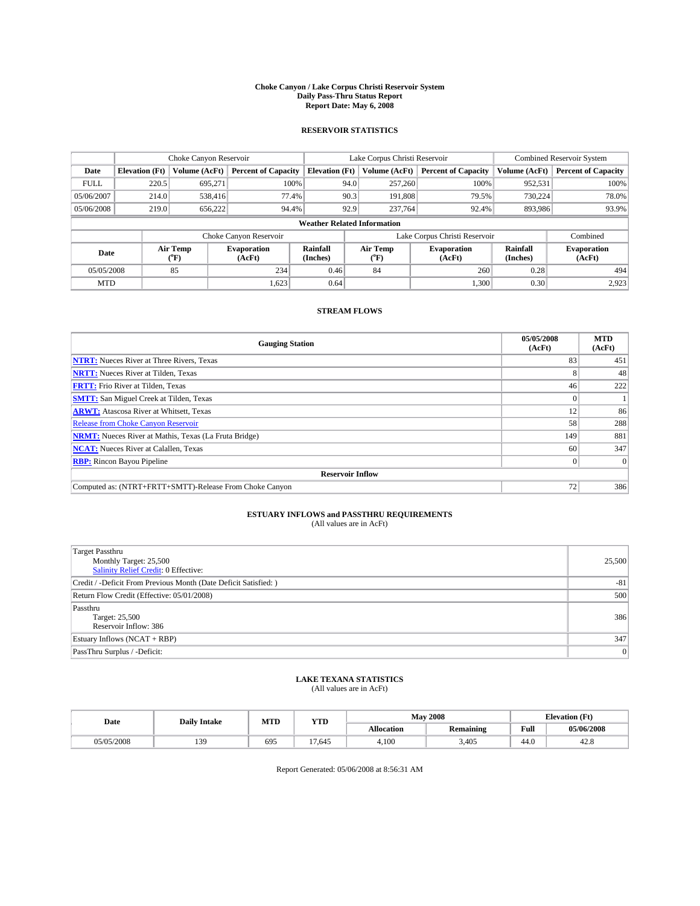#### **Choke Canyon / Lake Corpus Christi Reservoir System Daily Pass-Thru Status Report Report Date: May 6, 2008**

#### **RESERVOIR STATISTICS**

|             | Choke Canyon Reservoir             |                  |                              |                       | Lake Corpus Christi Reservoir |         |                               |                      | <b>Combined Reservoir System</b> |  |
|-------------|------------------------------------|------------------|------------------------------|-----------------------|-------------------------------|---------|-------------------------------|----------------------|----------------------------------|--|
| Date        | <b>Elevation</b> (Ft)              | Volume (AcFt)    | <b>Percent of Capacity</b>   | <b>Elevation</b> (Ft) | Volume (AcFt)                 |         | <b>Percent of Capacity</b>    | Volume (AcFt)        | <b>Percent of Capacity</b>       |  |
| <b>FULL</b> | 220.5                              | 695,271          | 100%                         |                       | 257,260<br>94.0               |         | 100%                          | 952,531              | 100%                             |  |
| 05/06/2007  | 214.0                              | 538,416          | 77.4%                        |                       | 90.3                          | 191,808 | 79.5%                         | 730.224              | 78.0%                            |  |
| 05/06/2008  | 219.0                              | 656.222          | 94.4%                        |                       | 92.9<br>237,764               |         | 92.4%                         | 893,986              | 93.9%                            |  |
|             | <b>Weather Related Information</b> |                  |                              |                       |                               |         |                               |                      |                                  |  |
|             |                                    |                  | Choke Canyon Reservoir       |                       |                               |         | Lake Corpus Christi Reservoir |                      | Combined                         |  |
| Date        |                                    | Air Temp<br>(°F) | <b>Evaporation</b><br>(AcFt) | Rainfall<br>(Inches)  | Air Temp<br>("F)              |         | <b>Evaporation</b><br>(AcFt)  | Rainfall<br>(Inches) | <b>Evaporation</b><br>(AcFt)     |  |
| 05/05/2008  |                                    | 85               | 234                          | 0.46                  | 84                            |         | 260                           | 0.28                 | 494                              |  |
| <b>MTD</b>  |                                    |                  | 1,623                        | 0.64                  |                               |         | 1,300                         | 0.30                 | 2,923                            |  |

### **STREAM FLOWS**

| <b>Gauging Station</b>                                       | 05/05/2008<br>(AcFt) | <b>MTD</b><br>(AcFt) |
|--------------------------------------------------------------|----------------------|----------------------|
| <b>NTRT:</b> Nueces River at Three Rivers, Texas             | 83                   | 451                  |
| <b>NRTT:</b> Nueces River at Tilden, Texas                   | Δ                    | 48                   |
| <b>FRTT:</b> Frio River at Tilden, Texas                     | 46                   | 222                  |
| <b>SMTT:</b> San Miguel Creek at Tilden, Texas               |                      |                      |
| <b>ARWT:</b> Atascosa River at Whitsett, Texas               | 12                   | 86                   |
| <b>Release from Choke Canyon Reservoir</b>                   | 58                   | 288                  |
| <b>NRMT:</b> Nueces River at Mathis, Texas (La Fruta Bridge) | 149                  | 881                  |
| <b>NCAT:</b> Nueces River at Calallen, Texas                 | 60                   | 347                  |
| <b>RBP:</b> Rincon Bayou Pipeline                            | $\vert 0 \vert$      |                      |
| <b>Reservoir Inflow</b>                                      |                      |                      |
| Computed as: (NTRT+FRTT+SMTT)-Release From Choke Canyon      | 72                   | 386                  |

# **ESTUARY INFLOWS and PASSTHRU REQUIREMENTS**<br>(All values are in AcFt)

| <b>Target Passthru</b><br>Monthly Target: 25,500<br>Salinity Relief Credit: 0 Effective: | 25,500 |
|------------------------------------------------------------------------------------------|--------|
| Credit / -Deficit From Previous Month (Date Deficit Satisfied: )                         | $-81$  |
| Return Flow Credit (Effective: 05/01/2008)                                               | 500    |
| Passthru<br>Target: 25,500<br>Reservoir Inflow: 386                                      | 386    |
| Estuary Inflows (NCAT + RBP)                                                             | 347    |
| PassThru Surplus / -Deficit:                                                             | 0      |

## **LAKE TEXANA STATISTICS** (All values are in AcFt)

| Date       | <b>Daily Intake</b> | MTD | YTD    |                   | <b>May 2008</b>  | <b>Elevation</b> (Ft) |            |
|------------|---------------------|-----|--------|-------------------|------------------|-----------------------|------------|
|            |                     |     |        | <b>Allocation</b> | <b>Remaining</b> | Full                  | 05/06/2008 |
| 05/05/2008 | 130                 | 695 | 17.645 | 4.100             | 3.405            | 44.0                  | າດ<br>42.8 |

Report Generated: 05/06/2008 at 8:56:31 AM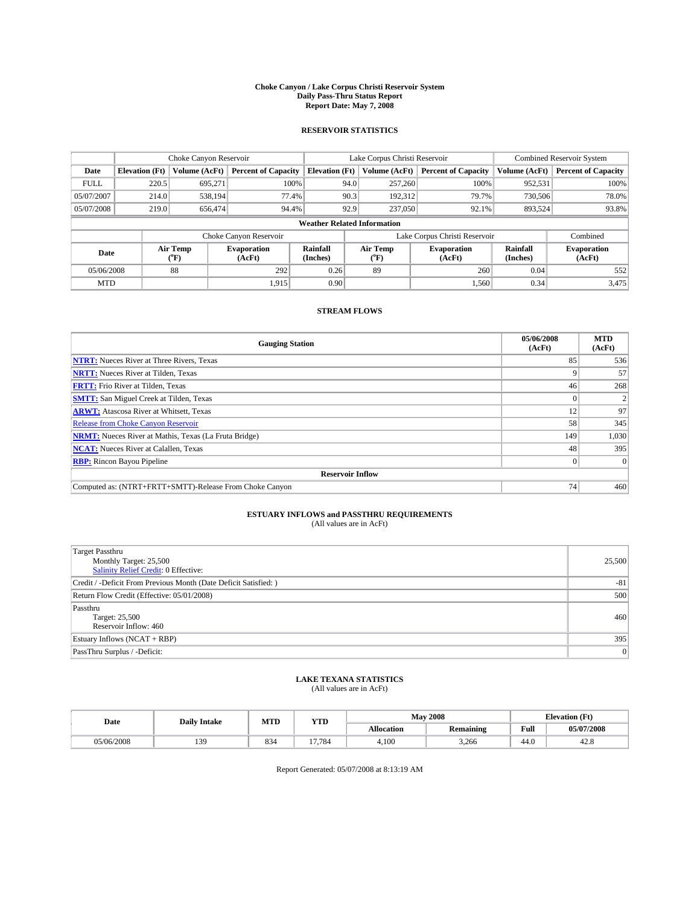#### **Choke Canyon / Lake Corpus Christi Reservoir System Daily Pass-Thru Status Report Report Date: May 7, 2008**

#### **RESERVOIR STATISTICS**

|             | Choke Canyon Reservoir             |                             |                              |                       | Lake Corpus Christi Reservoir | <b>Combined Reservoir System</b> |                      |                              |  |
|-------------|------------------------------------|-----------------------------|------------------------------|-----------------------|-------------------------------|----------------------------------|----------------------|------------------------------|--|
| Date        | <b>Elevation</b> (Ft)              | Volume (AcFt)               | <b>Percent of Capacity</b>   | <b>Elevation</b> (Ft) | Volume (AcFt)                 | <b>Percent of Capacity</b>       | Volume (AcFt)        | <b>Percent of Capacity</b>   |  |
| <b>FULL</b> | 220.5                              | 695,271                     | 100%                         |                       | 257,260<br>94.0               | 100%                             | 952,531              | 100%                         |  |
| 05/07/2007  | 214.0                              | 538.194                     | 77.4%                        |                       | 90.3<br>192,312               | 79.7%                            | 730,506              | 78.0%                        |  |
| 05/07/2008  | 219.0                              | 656,474                     | 94.4%                        |                       | 92.9<br>237,050               | 92.1%                            | 893.524              | 93.8%                        |  |
|             | <b>Weather Related Information</b> |                             |                              |                       |                               |                                  |                      |                              |  |
|             |                                    |                             | Choke Canyon Reservoir       |                       |                               | Lake Corpus Christi Reservoir    |                      | Combined                     |  |
| Date        |                                    | Air Temp<br>${}^{\circ}$ F) | <b>Evaporation</b><br>(AcFt) | Rainfall<br>(Inches)  | Air Temp<br>("F)              | <b>Evaporation</b><br>(AcFt)     | Rainfall<br>(Inches) | <b>Evaporation</b><br>(AcFt) |  |
| 05/06/2008  |                                    | 88                          | 292                          | 0.26                  | 89                            | 260                              | 0.04                 | 552                          |  |
| <b>MTD</b>  |                                    |                             | 1,915                        | 0.90                  |                               | 1,560                            | 0.34                 | 3,475                        |  |

### **STREAM FLOWS**

| <b>Gauging Station</b>                                       | 05/06/2008<br>(AcFt) | <b>MTD</b><br>(AcFt) |
|--------------------------------------------------------------|----------------------|----------------------|
| <b>NTRT:</b> Nueces River at Three Rivers, Texas             | 85                   | 536                  |
| <b>NRTT:</b> Nueces River at Tilden, Texas                   | Q                    | 57                   |
| <b>FRTT:</b> Frio River at Tilden, Texas                     | 46                   | 268                  |
| <b>SMTT:</b> San Miguel Creek at Tilden, Texas               |                      |                      |
| <b>ARWT:</b> Atascosa River at Whitsett, Texas               | 12                   | 97                   |
| <b>Release from Choke Canyon Reservoir</b>                   | 58                   | 345                  |
| <b>NRMT:</b> Nueces River at Mathis, Texas (La Fruta Bridge) | 149                  | 1,030                |
| <b>NCAT:</b> Nueces River at Calallen, Texas                 | 48                   | 395                  |
| <b>RBP:</b> Rincon Bayou Pipeline                            | $\overline{0}$       |                      |
| <b>Reservoir Inflow</b>                                      |                      |                      |
| Computed as: (NTRT+FRTT+SMTT)-Release From Choke Canyon      | 74                   | 460                  |

# **ESTUARY INFLOWS and PASSTHRU REQUIREMENTS**<br>(All values are in AcFt)

| Target Passthru                                                  |                |
|------------------------------------------------------------------|----------------|
| Monthly Target: 25,500                                           | 25,500         |
| <b>Salinity Relief Credit: 0 Effective:</b>                      |                |
| Credit / -Deficit From Previous Month (Date Deficit Satisfied: ) | $-81$          |
| Return Flow Credit (Effective: 05/01/2008)                       | 500            |
| Passthru                                                         |                |
| Target: 25,500                                                   | 460            |
| Reservoir Inflow: 460                                            |                |
| Estuary Inflows (NCAT + RBP)                                     | 395            |
| PassThru Surplus / -Deficit:                                     | $\overline{0}$ |

## **LAKE TEXANA STATISTICS** (All values are in AcFt)

| Date       | <b>Daily Intake</b> | MTD | YTD    |            | <b>May 2008</b>  | <b>Elevation</b> (Ft)                   |            |
|------------|---------------------|-----|--------|------------|------------------|-----------------------------------------|------------|
|            |                     |     |        | Allocation | <b>Remaining</b> | Full<br>the contract of the contract of | 05/07/2008 |
| 05/06/2008 | 130                 | 834 | 17.784 | 4.100      | 3.266            | 44.0                                    | າດ<br>42.8 |

Report Generated: 05/07/2008 at 8:13:19 AM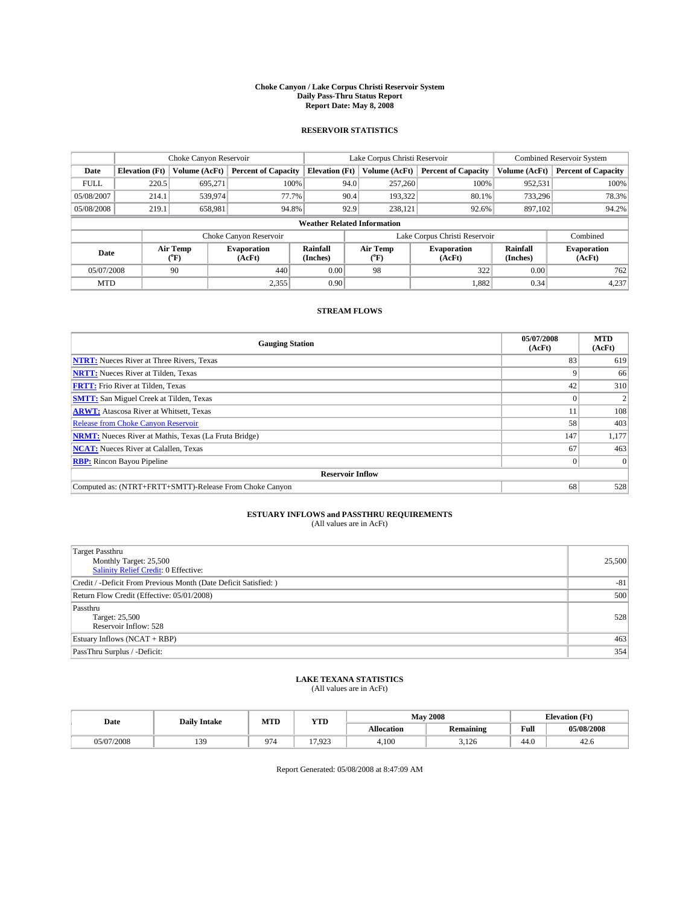#### **Choke Canyon / Lake Corpus Christi Reservoir System Daily Pass-Thru Status Report Report Date: May 8, 2008**

#### **RESERVOIR STATISTICS**

|             | Choke Canyon Reservoir             |                  |                              |                       | Lake Corpus Christi Reservoir | <b>Combined Reservoir System</b> |                      |                              |  |
|-------------|------------------------------------|------------------|------------------------------|-----------------------|-------------------------------|----------------------------------|----------------------|------------------------------|--|
| Date        | <b>Elevation</b> (Ft)              | Volume (AcFt)    | <b>Percent of Capacity</b>   | <b>Elevation</b> (Ft) | Volume (AcFt)                 | <b>Percent of Capacity</b>       | Volume (AcFt)        | <b>Percent of Capacity</b>   |  |
| <b>FULL</b> | 220.5                              | 695,271          | 100%                         |                       | 257,260<br>94.0               | 100%                             | 952,531              | 100%                         |  |
| 05/08/2007  | 214.1                              | 539,974          | 77.7%                        |                       | 90.4<br>193,322               | 80.1%                            | 733,296              | 78.3%                        |  |
| 05/08/2008  | 219.1                              | 658,981          | 94.8%                        |                       | 92.9<br>238,121               | 92.6%                            | 897,102              | 94.2%                        |  |
|             | <b>Weather Related Information</b> |                  |                              |                       |                               |                                  |                      |                              |  |
|             |                                    |                  | Choke Canyon Reservoir       |                       |                               | Lake Corpus Christi Reservoir    |                      | Combined                     |  |
| Date        |                                    | Air Temp<br>(°F) | <b>Evaporation</b><br>(AcFt) | Rainfall<br>(Inches)  | Air Temp<br>("F)              | <b>Evaporation</b><br>(AcFt)     | Rainfall<br>(Inches) | <b>Evaporation</b><br>(AcFt) |  |
| 05/07/2008  |                                    | 90               | 440                          | 0.00                  | 98                            | 322                              | 0.00                 | 762                          |  |
| <b>MTD</b>  |                                    |                  | 2,355                        | 0.90                  |                               | 1,882                            | 0.34                 | 4,237                        |  |

### **STREAM FLOWS**

| <b>Gauging Station</b>                                       | 05/07/2008<br>(AcFt) | <b>MTD</b><br>(AcFt) |  |  |  |  |
|--------------------------------------------------------------|----------------------|----------------------|--|--|--|--|
| <b>NTRT:</b> Nueces River at Three Rivers, Texas             | 83                   | 619                  |  |  |  |  |
| <b>NRTT:</b> Nueces River at Tilden, Texas                   | Q                    | 66                   |  |  |  |  |
| <b>FRTT:</b> Frio River at Tilden, Texas                     | 42                   | 310                  |  |  |  |  |
| <b>SMTT:</b> San Miguel Creek at Tilden, Texas               |                      |                      |  |  |  |  |
| <b>ARWT:</b> Atascosa River at Whitsett, Texas               | 11                   | 108                  |  |  |  |  |
| <b>Release from Choke Canyon Reservoir</b>                   | 58                   | 403                  |  |  |  |  |
| <b>NRMT:</b> Nueces River at Mathis, Texas (La Fruta Bridge) | 147                  | 1,177                |  |  |  |  |
| <b>NCAT:</b> Nueces River at Calallen, Texas                 | 67                   | 463                  |  |  |  |  |
| <b>RBP:</b> Rincon Bayou Pipeline                            | $\theta$             |                      |  |  |  |  |
| <b>Reservoir Inflow</b>                                      |                      |                      |  |  |  |  |
| Computed as: (NTRT+FRTT+SMTT)-Release From Choke Canyon      | 68                   | 528                  |  |  |  |  |

# **ESTUARY INFLOWS and PASSTHRU REQUIREMENTS**<br>(All values are in AcFt)

| Target Passthru<br>Monthly Target: 25,500<br><b>Salinity Relief Credit: 0 Effective:</b> | 25,500 |
|------------------------------------------------------------------------------------------|--------|
|                                                                                          |        |
| Credit / -Deficit From Previous Month (Date Deficit Satisfied: )                         | $-81$  |
| Return Flow Credit (Effective: 05/01/2008)                                               | 500    |
| Passthru                                                                                 |        |
| Target: 25,500                                                                           | 528    |
| Reservoir Inflow: 528                                                                    |        |
| Estuary Inflows (NCAT + RBP)                                                             | 463    |
| PassThru Surplus / -Deficit:                                                             | 354    |

## **LAKE TEXANA STATISTICS** (All values are in AcFt)

| Date       | <b>Daily Intake</b> | MTI | <b>WTPD</b><br>1 I D |                   | <b>May 2008</b>  | <b>Elevation</b> (Ft)                   |            |
|------------|---------------------|-----|----------------------|-------------------|------------------|-----------------------------------------|------------|
|            |                     |     |                      | <b>Allocation</b> | <b>Remaining</b> | Full<br>the contract of the contract of | 05/08/2008 |
| 05/07/2008 | 130                 | 974 | 17.023<br>رے ر       | 4.100             | 3.126            | 44.0                                    | 42.O       |

Report Generated: 05/08/2008 at 8:47:09 AM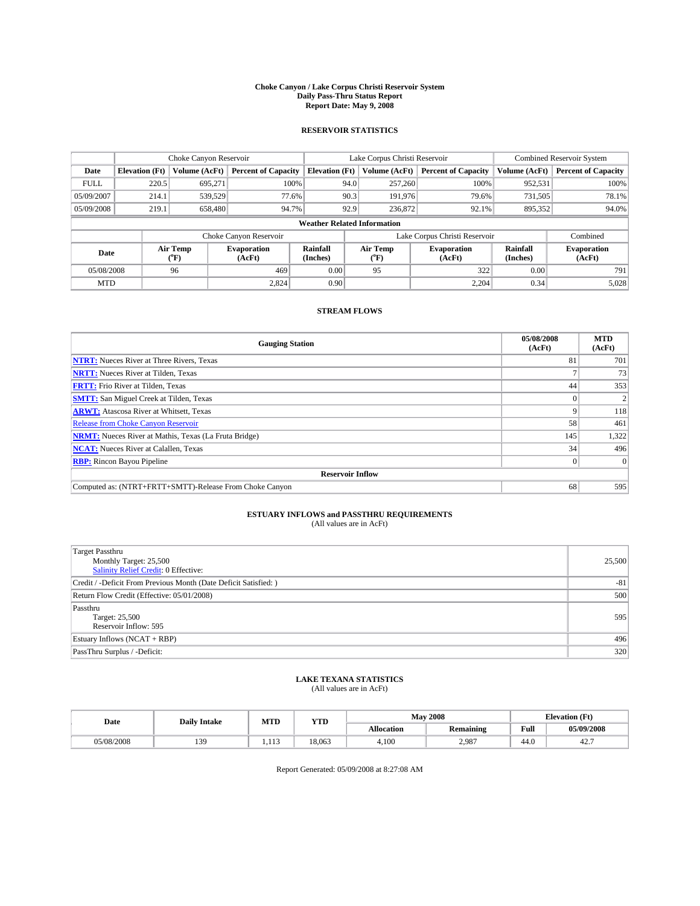#### **Choke Canyon / Lake Corpus Christi Reservoir System Daily Pass-Thru Status Report Report Date: May 9, 2008**

#### **RESERVOIR STATISTICS**

|                                    |                       |                  | Lake Corpus Christi Reservoir |                       |      |                  | <b>Combined Reservoir System</b> |                      |                              |
|------------------------------------|-----------------------|------------------|-------------------------------|-----------------------|------|------------------|----------------------------------|----------------------|------------------------------|
| Date                               | <b>Elevation</b> (Ft) | Volume (AcFt)    | <b>Percent of Capacity</b>    | <b>Elevation</b> (Ft) |      | Volume (AcFt)    | <b>Percent of Capacity</b>       | Volume (AcFt)        | <b>Percent of Capacity</b>   |
| <b>FULL</b>                        | 220.5                 | 695,271          |                               | 100%                  | 94.0 | 257,260          | 100%                             | 952,531              | 100%                         |
| 05/09/2007                         | 214.1                 | 539.529          | 77.6%                         |                       | 90.3 | 191,976          | 79.6%                            | 731,505              | 78.1%                        |
| 05/09/2008                         | 219.1                 | 658,480          | 94.7%                         |                       | 92.9 | 236,872          | 92.1%                            | 895,352              | 94.0%                        |
| <b>Weather Related Information</b> |                       |                  |                               |                       |      |                  |                                  |                      |                              |
|                                    |                       |                  | Choke Canyon Reservoir        |                       |      |                  | Lake Corpus Christi Reservoir    |                      | Combined                     |
| Date                               |                       | Air Temp<br>(°F) | <b>Evaporation</b><br>(AcFt)  | Rainfall<br>(Inches)  |      | Air Temp<br>("F) | <b>Evaporation</b><br>(AcFt)     | Rainfall<br>(Inches) | <b>Evaporation</b><br>(AcFt) |
| 05/08/2008                         |                       | 96               | 469                           | 0.00                  |      | 95               | 322                              | 0.00                 | 791                          |
| <b>MTD</b>                         |                       |                  | 2,824                         | 0.90                  |      |                  | 2,204                            | 0.34                 | 5,028                        |

### **STREAM FLOWS**

| <b>Gauging Station</b>                                       | 05/08/2008<br>(AcFt) | <b>MTD</b><br>(AcFt) |
|--------------------------------------------------------------|----------------------|----------------------|
| <b>NTRT:</b> Nueces River at Three Rivers, Texas             | 81                   | 701                  |
| <b>NRTT:</b> Nueces River at Tilden, Texas                   |                      | 73                   |
| <b>FRTT:</b> Frio River at Tilden, Texas                     | 44                   | 353                  |
| <b>SMTT:</b> San Miguel Creek at Tilden, Texas               |                      |                      |
| <b>ARWT:</b> Atascosa River at Whitsett, Texas               | 9                    | 118                  |
| <b>Release from Choke Canyon Reservoir</b>                   | 58                   | 461                  |
| <b>NRMT:</b> Nueces River at Mathis, Texas (La Fruta Bridge) | 145                  | 1,322                |
| <b>NCAT:</b> Nueces River at Calallen, Texas                 | 34                   | 496                  |
| <b>RBP:</b> Rincon Bayou Pipeline                            | $\overline{0}$       |                      |
| <b>Reservoir Inflow</b>                                      |                      |                      |
| Computed as: (NTRT+FRTT+SMTT)-Release From Choke Canyon      | 68                   | 595                  |

# **ESTUARY INFLOWS and PASSTHRU REQUIREMENTS**<br>(All values are in AcFt)

| Target Passthru                                                  |        |
|------------------------------------------------------------------|--------|
| Monthly Target: 25,500                                           | 25,500 |
| <b>Salinity Relief Credit: 0 Effective:</b>                      |        |
| Credit / -Deficit From Previous Month (Date Deficit Satisfied: ) | $-81$  |
| Return Flow Credit (Effective: 05/01/2008)                       | 500    |
| Passthru                                                         |        |
| Target: 25,500                                                   | 595    |
| Reservoir Inflow: 595                                            |        |
| Estuary Inflows (NCAT + RBP)                                     | 496    |
| PassThru Surplus / -Deficit:                                     | 320    |

## **LAKE TEXANA STATISTICS** (All values are in AcFt)

| Date       | <b>Daily Intake</b> | MTI          | <b>WTPD</b><br>1 I D |                   | <b>May 2008</b>  | <b>Elevation</b> (Ft) |            |
|------------|---------------------|--------------|----------------------|-------------------|------------------|-----------------------|------------|
|            |                     |              |                      | <b>Allocation</b> | <b>Remaining</b> | Full                  | 05/09/2008 |
| 05/08/2008 | 130<br>$\cdot$      | 111<br>1.11. | 18.063               | 4.100             | 2.987            | 44.0                  | 44.        |

Report Generated: 05/09/2008 at 8:27:08 AM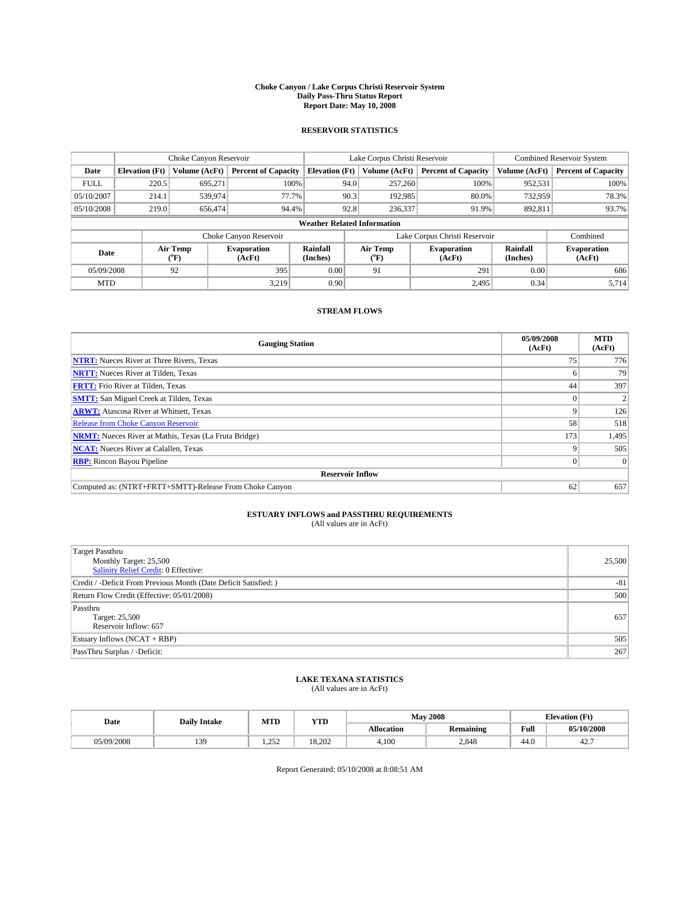#### **Choke Canyon / Lake Corpus Christi Reservoir System Daily Pass-Thru Status Report Report Date: May 10, 2008**

#### **RESERVOIR STATISTICS**

|             | Choke Canyon Reservoir             |                  |                              |                       | Lake Corpus Christi Reservoir | <b>Combined Reservoir System</b> |                      |                              |  |  |
|-------------|------------------------------------|------------------|------------------------------|-----------------------|-------------------------------|----------------------------------|----------------------|------------------------------|--|--|
| Date        | <b>Elevation</b> (Ft)              | Volume (AcFt)    | <b>Percent of Capacity</b>   | <b>Elevation</b> (Ft) | Volume (AcFt)                 | <b>Percent of Capacity</b>       | Volume (AcFt)        | <b>Percent of Capacity</b>   |  |  |
| <b>FULL</b> | 220.5                              | 695,271          | 100%                         | 94.0                  | 257,260                       | 100%                             | 952,531              | 100%                         |  |  |
| 05/10/2007  | 214.1                              | 539,974          | 77.7%                        | 90.3                  | 192,985                       | 80.0%                            | 732,959              | 78.3%                        |  |  |
| 05/10/2008  | 219.0                              | 656,474          | 94.4%                        | 92.8                  | 236,337                       | 91.9%                            | 892,811              | 93.7%                        |  |  |
|             | <b>Weather Related Information</b> |                  |                              |                       |                               |                                  |                      |                              |  |  |
|             |                                    |                  | Choke Canyon Reservoir       |                       |                               | Lake Corpus Christi Reservoir    |                      | Combined                     |  |  |
| Date        |                                    | Air Temp<br>(°F) | <b>Evaporation</b><br>(AcFt) | Rainfall<br>(Inches)  | Air Temp<br>("F)              | <b>Evaporation</b><br>(AcFt)     | Rainfall<br>(Inches) | <b>Evaporation</b><br>(AcFt) |  |  |
| 05/09/2008  |                                    | 92               | 395                          | 0.00                  | 91                            | 291                              | 0.00                 | 686                          |  |  |
| <b>MTD</b>  |                                    |                  | 3.219                        | 0.90                  |                               | 2,495                            | 0.34                 | 5,714                        |  |  |

### **STREAM FLOWS**

| <b>Gauging Station</b>                                       | 05/09/2008<br>(AcFt) | <b>MTD</b><br>(AcFt) |  |  |  |  |  |
|--------------------------------------------------------------|----------------------|----------------------|--|--|--|--|--|
| <b>NTRT:</b> Nueces River at Three Rivers, Texas             | 75                   | 776                  |  |  |  |  |  |
| <b>NRTT:</b> Nueces River at Tilden, Texas                   |                      | 79                   |  |  |  |  |  |
| <b>FRTT:</b> Frio River at Tilden, Texas                     | 44                   | 397                  |  |  |  |  |  |
| <b>SMTT:</b> San Miguel Creek at Tilden, Texas               |                      |                      |  |  |  |  |  |
| <b>ARWT:</b> Atascosa River at Whitsett, Texas               | 9                    | 126                  |  |  |  |  |  |
| <b>Release from Choke Canyon Reservoir</b>                   | 58                   | 518                  |  |  |  |  |  |
| <b>NRMT:</b> Nueces River at Mathis, Texas (La Fruta Bridge) | 173                  | 1,495                |  |  |  |  |  |
| <b>NCAT:</b> Nueces River at Calallen, Texas                 | 9                    | 505                  |  |  |  |  |  |
| <b>RBP:</b> Rincon Bayou Pipeline                            | $\Omega$             |                      |  |  |  |  |  |
| <b>Reservoir Inflow</b>                                      |                      |                      |  |  |  |  |  |
| Computed as: (NTRT+FRTT+SMTT)-Release From Choke Canyon      | 62                   | 657                  |  |  |  |  |  |

# **ESTUARY INFLOWS and PASSTHRU REQUIREMENTS**<br>(All values are in AcFt)

| <b>Target Passthru</b><br>Monthly Target: 25,500<br>Salinity Relief Credit: 0 Effective: | 25,500 |
|------------------------------------------------------------------------------------------|--------|
| Credit / -Deficit From Previous Month (Date Deficit Satisfied: )                         | $-81$  |
| Return Flow Credit (Effective: 05/01/2008)                                               | 500    |
| Passthru<br>Target: 25,500<br>Reservoir Inflow: 657                                      | 657    |
| Estuary Inflows (NCAT + RBP)                                                             | 505    |
| PassThru Surplus / -Deficit:                                                             | 267    |

## **LAKE TEXANA STATISTICS** (All values are in AcFt)

| Date       | <b>Daily Intake</b> | MTI                       | <b>WTPD</b><br>$-11$ |                   | <b>May 2008</b>  | <b>Elevation</b> (Ft) |            |
|------------|---------------------|---------------------------|----------------------|-------------------|------------------|-----------------------|------------|
|            |                     |                           |                      | <b>Allocation</b> | <b>Remaining</b> | Full                  | 05/10/2008 |
| 05/09/2008 | 130                 | 252<br>1.4 J <sub>4</sub> | 18.202               | 4.100             | 2.848            | 44.0                  | 44.        |

Report Generated: 05/10/2008 at 8:08:51 AM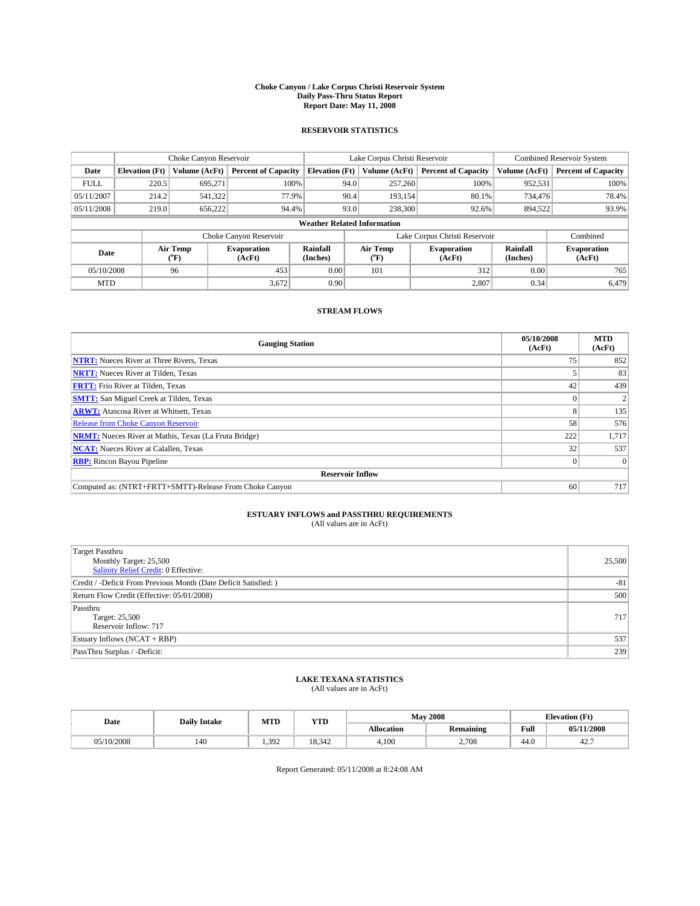#### **Choke Canyon / Lake Corpus Christi Reservoir System Daily Pass-Thru Status Report Report Date: May 11, 2008**

#### **RESERVOIR STATISTICS**

|             | Choke Canyon Reservoir             |                             |                              |                       | Lake Corpus Christi Reservoir |                               | Combined Reservoir System |                              |  |
|-------------|------------------------------------|-----------------------------|------------------------------|-----------------------|-------------------------------|-------------------------------|---------------------------|------------------------------|--|
| Date        | <b>Elevation</b> (Ft)              | Volume (AcFt)               | <b>Percent of Capacity</b>   | <b>Elevation</b> (Ft) | Volume (AcFt)                 | <b>Percent of Capacity</b>    | Volume (AcFt)             | <b>Percent of Capacity</b>   |  |
| <b>FULL</b> | 220.5                              | 695,271                     | 100%                         |                       | 257,260<br>94.0               | 100%                          | 952,531                   | 100%                         |  |
| 05/11/2007  | 214.2                              | 541,322                     | 77.9%                        |                       | 90.4<br>193,154               | 80.1%                         | 734,476                   | 78.4%                        |  |
| 05/11/2008  | 219.0                              | 656.222                     | 94.4%                        |                       | 93.0<br>238,300               | 92.6%                         | 894.522                   | 93.9%                        |  |
|             | <b>Weather Related Information</b> |                             |                              |                       |                               |                               |                           |                              |  |
|             |                                    |                             | Choke Canyon Reservoir       |                       |                               | Lake Corpus Christi Reservoir |                           | Combined                     |  |
| Date        |                                    | Air Temp<br>${}^{\circ}$ F) | <b>Evaporation</b><br>(AcFt) | Rainfall<br>(Inches)  | Air Temp<br>("F)              | <b>Evaporation</b><br>(AcFt)  | Rainfall<br>(Inches)      | <b>Evaporation</b><br>(AcFt) |  |
| 05/10/2008  |                                    | 96                          | 453                          | 0.00                  | 101                           | 312                           | 0.00                      | 765                          |  |
| <b>MTD</b>  |                                    |                             | 3,672                        | 0.90                  |                               | 2,807                         | 0.34                      | 6,479                        |  |

### **STREAM FLOWS**

| <b>Gauging Station</b>                                       | 05/10/2008<br>(AcFt) | <b>MTD</b><br>(AcFt) |  |  |  |  |  |
|--------------------------------------------------------------|----------------------|----------------------|--|--|--|--|--|
| <b>NTRT:</b> Nueces River at Three Rivers, Texas             | 75                   | 852                  |  |  |  |  |  |
| <b>NRTT:</b> Nueces River at Tilden, Texas                   |                      | 83                   |  |  |  |  |  |
| <b>FRTT:</b> Frio River at Tilden, Texas                     | 42                   | 439                  |  |  |  |  |  |
| <b>SMTT:</b> San Miguel Creek at Tilden, Texas               |                      |                      |  |  |  |  |  |
| <b>ARWT:</b> Atascosa River at Whitsett, Texas               | 8                    | 135                  |  |  |  |  |  |
| <b>Release from Choke Canyon Reservoir</b>                   | 58                   | 576                  |  |  |  |  |  |
| <b>NRMT:</b> Nueces River at Mathis, Texas (La Fruta Bridge) | 222                  | 1,717                |  |  |  |  |  |
| <b>NCAT:</b> Nueces River at Calallen, Texas                 | 32                   | 537                  |  |  |  |  |  |
| <b>RBP:</b> Rincon Bayou Pipeline                            | $\overline{0}$       |                      |  |  |  |  |  |
| <b>Reservoir Inflow</b>                                      |                      |                      |  |  |  |  |  |
| Computed as: (NTRT+FRTT+SMTT)-Release From Choke Canyon      | 60                   | 717                  |  |  |  |  |  |

# **ESTUARY INFLOWS and PASSTHRU REQUIREMENTS**<br>(All values are in AcFt)

| <b>Target Passthru</b><br>Monthly Target: 25,500<br>Salinity Relief Credit: 0 Effective: | 25,500 |
|------------------------------------------------------------------------------------------|--------|
| Credit / -Deficit From Previous Month (Date Deficit Satisfied: )                         | $-81$  |
| Return Flow Credit (Effective: 05/01/2008)                                               | 500    |
| Passthru<br>Target: 25,500<br>Reservoir Inflow: 717                                      | 717    |
| Estuary Inflows (NCAT + RBP)                                                             | 537    |
| PassThru Surplus / -Deficit:                                                             | 239    |

## **LAKE TEXANA STATISTICS** (All values are in AcFt)

| Date       | <b>Daily Intake</b> | MTD   | <b>YTD</b> |            | <b>May 2008</b>  | <b>Elevation</b> (Ft)                       |            |
|------------|---------------------|-------|------------|------------|------------------|---------------------------------------------|------------|
|            |                     |       |            | Allocation | <b>Remaining</b> | Full<br>the contract of the contract of the | 05/11/2008 |
| 05/10/2008 | 140                 | 1.392 | 18.342     | 4,100      | 2.708            | 44.0                                        | 44.        |

Report Generated: 05/11/2008 at 8:24:08 AM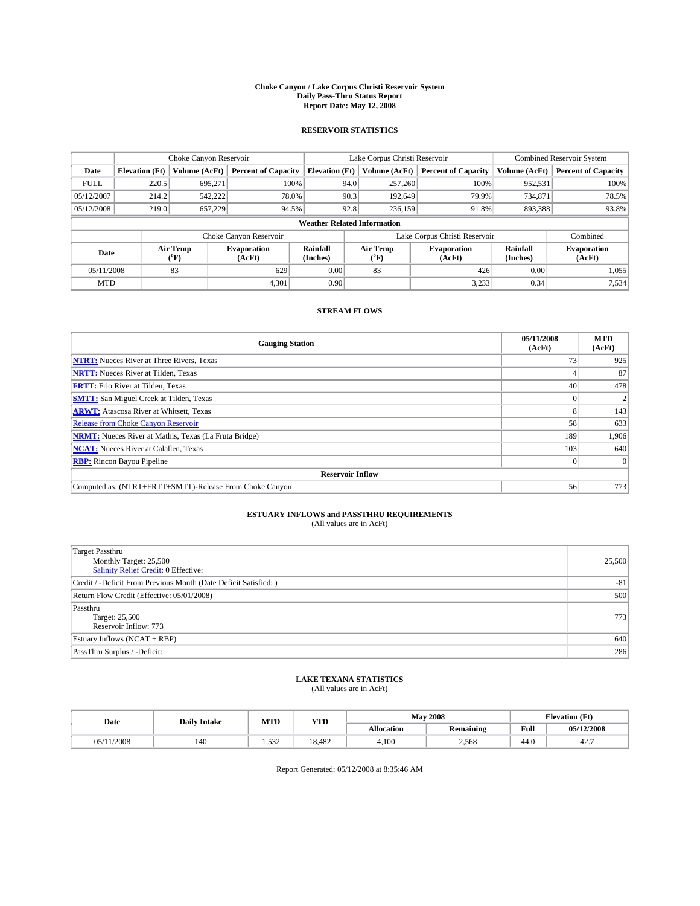#### **Choke Canyon / Lake Corpus Christi Reservoir System Daily Pass-Thru Status Report Report Date: May 12, 2008**

#### **RESERVOIR STATISTICS**

|                                    | Choke Canyon Reservoir |                  |                              |                       | Lake Corpus Christi Reservoir |                  |                               |                      | Combined Reservoir System    |  |
|------------------------------------|------------------------|------------------|------------------------------|-----------------------|-------------------------------|------------------|-------------------------------|----------------------|------------------------------|--|
| Date                               | <b>Elevation</b> (Ft)  | Volume (AcFt)    | <b>Percent of Capacity</b>   | <b>Elevation</b> (Ft) |                               | Volume (AcFt)    | <b>Percent of Capacity</b>    | Volume (AcFt)        | <b>Percent of Capacity</b>   |  |
| <b>FULL</b>                        | 220.5                  | 695,271          | 100%                         |                       | 94.0                          | 257,260          | 100%                          | 952,531              | 100%                         |  |
| 05/12/2007                         | 214.2                  | 542,222          | 78.0%                        |                       | 90.3                          | 192,649          | 79.9%                         | 734,871              | 78.5%                        |  |
| 05/12/2008                         | 219.0                  | 657.229          | 94.5%                        |                       | 92.8                          | 236.159          | 91.8%                         | 893,388              | 93.8%                        |  |
| <b>Weather Related Information</b> |                        |                  |                              |                       |                               |                  |                               |                      |                              |  |
|                                    |                        |                  | Choke Canyon Reservoir       |                       |                               |                  | Lake Corpus Christi Reservoir |                      | Combined                     |  |
| Date                               |                        | Air Temp<br>(°F) | <b>Evaporation</b><br>(AcFt) | Rainfall<br>(Inches)  |                               | Air Temp<br>("F) | <b>Evaporation</b><br>(AcFt)  | Rainfall<br>(Inches) | <b>Evaporation</b><br>(AcFt) |  |
| 05/11/2008                         |                        | 83               | 629                          | 0.00                  |                               | 83               | 426                           | 0.00                 | 1,055                        |  |
| <b>MTD</b>                         |                        |                  | 4,301                        | 0.90                  |                               |                  | 3,233                         | 0.34                 | 7,534                        |  |

### **STREAM FLOWS**

| <b>Gauging Station</b>                                       | 05/11/2008<br>(AcFt) | <b>MTD</b><br>(AcFt) |
|--------------------------------------------------------------|----------------------|----------------------|
| <b>NTRT:</b> Nueces River at Three Rivers, Texas             | 73 <sub>1</sub>      | 925                  |
| <b>NRTT:</b> Nueces River at Tilden, Texas                   |                      | 87                   |
| <b>FRTT:</b> Frio River at Tilden, Texas                     | 40                   | 478                  |
| <b>SMTT:</b> San Miguel Creek at Tilden, Texas               |                      |                      |
| <b>ARWT:</b> Atascosa River at Whitsett, Texas               | 8                    | 143                  |
| <b>Release from Choke Canyon Reservoir</b>                   | 58                   | 633                  |
| <b>NRMT:</b> Nueces River at Mathis, Texas (La Fruta Bridge) | 189                  | 1,906                |
| <b>NCAT:</b> Nueces River at Calallen, Texas                 | 103                  | 640                  |
| <b>RBP:</b> Rincon Bayou Pipeline                            | $\overline{0}$       |                      |
| <b>Reservoir Inflow</b>                                      |                      |                      |
| Computed as: (NTRT+FRTT+SMTT)-Release From Choke Canyon      | 56                   | 773                  |

# **ESTUARY INFLOWS and PASSTHRU REQUIREMENTS**<br>(All values are in AcFt)

| Target Passthru                                                  |        |
|------------------------------------------------------------------|--------|
| Monthly Target: 25,500                                           | 25,500 |
| <b>Salinity Relief Credit: 0 Effective:</b>                      |        |
| Credit / -Deficit From Previous Month (Date Deficit Satisfied: ) | $-81$  |
| Return Flow Credit (Effective: 05/01/2008)                       | 500    |
| Passthru                                                         |        |
| Target: 25,500                                                   | 773    |
| Reservoir Inflow: 773                                            |        |
| Estuary Inflows (NCAT + RBP)                                     | 640    |
| PassThru Surplus / -Deficit:                                     | 286    |

## **LAKE TEXANA STATISTICS** (All values are in AcFt)

| Date          | <b>Daily Intake</b> | MTI            | <b>YTD</b> |                   | <b>May 2008</b>  | <b>Elevation</b> (Ft) |            |
|---------------|---------------------|----------------|------------|-------------------|------------------|-----------------------|------------|
|               |                     |                |            | <b>Allocation</b> | <b>Remaining</b> | Full                  | 05/12/2008 |
| 1/2008<br>٦٢, | 140                 | 532<br>ے رہے ہ | 18.482     | 4.100             | 2.568            | 44.0                  | 44.        |

Report Generated: 05/12/2008 at 8:35:46 AM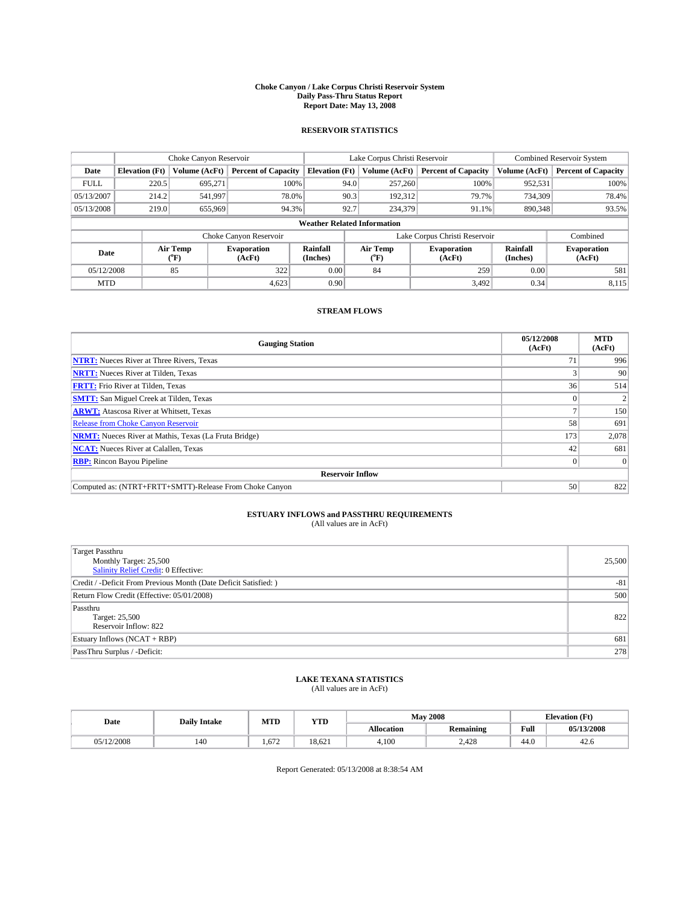#### **Choke Canyon / Lake Corpus Christi Reservoir System Daily Pass-Thru Status Report Report Date: May 13, 2008**

#### **RESERVOIR STATISTICS**

|             | Choke Canyon Reservoir             |                  |                              |                       | Lake Corpus Christi Reservoir |                  |                               |                      | <b>Combined Reservoir System</b> |  |
|-------------|------------------------------------|------------------|------------------------------|-----------------------|-------------------------------|------------------|-------------------------------|----------------------|----------------------------------|--|
| Date        | <b>Elevation</b> (Ft)              | Volume (AcFt)    | <b>Percent of Capacity</b>   | <b>Elevation</b> (Ft) |                               | Volume (AcFt)    | <b>Percent of Capacity</b>    | Volume (AcFt)        | <b>Percent of Capacity</b>       |  |
| <b>FULL</b> | 220.5                              | 695,271          | 100%                         |                       | 94.0                          | 257,260          | 100%                          | 952,531              | 100%                             |  |
| 05/13/2007  | 214.2                              | 541,997          | 78.0%                        |                       | 90.3                          | 192,312          | 79.7%                         | 734,309              | 78.4%                            |  |
| 05/13/2008  | 219.0                              | 655,969          | 94.3%                        |                       | 92.7                          | 234,379          | 91.1%                         | 890,348              | 93.5%                            |  |
|             | <b>Weather Related Information</b> |                  |                              |                       |                               |                  |                               |                      |                                  |  |
|             |                                    |                  | Choke Canyon Reservoir       |                       |                               |                  | Lake Corpus Christi Reservoir |                      | Combined                         |  |
| Date        |                                    | Air Temp<br>(°F) | <b>Evaporation</b><br>(AcFt) | Rainfall<br>(Inches)  |                               | Air Temp<br>("F) | <b>Evaporation</b><br>(AcFt)  | Rainfall<br>(Inches) | <b>Evaporation</b><br>(AcFt)     |  |
| 05/12/2008  |                                    | 85               | 322                          | 0.00                  |                               | 84               | 259                           | 0.00                 | 581                              |  |
| <b>MTD</b>  |                                    |                  | 4,623                        | 0.90                  |                               |                  | 3.492                         | 0.34                 | 8,115                            |  |

### **STREAM FLOWS**

| <b>Gauging Station</b>                                       | 05/12/2008<br>(AcFt) | <b>MTD</b><br>(AcFt) |
|--------------------------------------------------------------|----------------------|----------------------|
| <b>NTRT:</b> Nueces River at Three Rivers, Texas             | 71                   | 996                  |
| <b>NRTT:</b> Nueces River at Tilden, Texas                   |                      | 90                   |
| <b>FRTT:</b> Frio River at Tilden, Texas                     | 36                   | 514                  |
| <b>SMTT:</b> San Miguel Creek at Tilden, Texas               |                      |                      |
| <b>ARWT:</b> Atascosa River at Whitsett, Texas               |                      | 150                  |
| <b>Release from Choke Canyon Reservoir</b>                   | 58                   | 691                  |
| <b>NRMT:</b> Nueces River at Mathis, Texas (La Fruta Bridge) | 173                  | 2,078                |
| <b>NCAT:</b> Nueces River at Calallen, Texas                 | 42                   | 681                  |
| <b>RBP:</b> Rincon Bayou Pipeline                            |                      | $\Omega$             |
| <b>Reservoir Inflow</b>                                      |                      |                      |
| Computed as: (NTRT+FRTT+SMTT)-Release From Choke Canyon      | 50                   | 822                  |

# **ESTUARY INFLOWS and PASSTHRU REQUIREMENTS**<br>(All values are in AcFt)

| Target Passthru<br>Monthly Target: 25,500<br>Salinity Relief Credit: 0 Effective: | 25,500 |
|-----------------------------------------------------------------------------------|--------|
| Credit / -Deficit From Previous Month (Date Deficit Satisfied: )                  | $-81$  |
| Return Flow Credit (Effective: 05/01/2008)                                        | 500    |
| Passthru<br>Target: 25,500<br>Reservoir Inflow: 822                               | 822    |
| Estuary Inflows (NCAT + RBP)                                                      | 681    |
| PassThru Surplus / -Deficit:                                                      | 278    |

## **LAKE TEXANA STATISTICS** (All values are in AcFt)

| Date       | <b>Daily Intake</b> | MTD            | T/TD<br>1 I D |                   | <b>May 2008</b> | <b>Elevation</b> (Ft) |            |
|------------|---------------------|----------------|---------------|-------------------|-----------------|-----------------------|------------|
|            |                     |                |               | <b>Allocation</b> | Remaining       | Full                  | 05/13/2008 |
| 05/12/2008 | 140                 | $\sim$<br>.012 | 18.621        | 4.100             | 2.428           | 44.0                  | 44.0       |

Report Generated: 05/13/2008 at 8:38:54 AM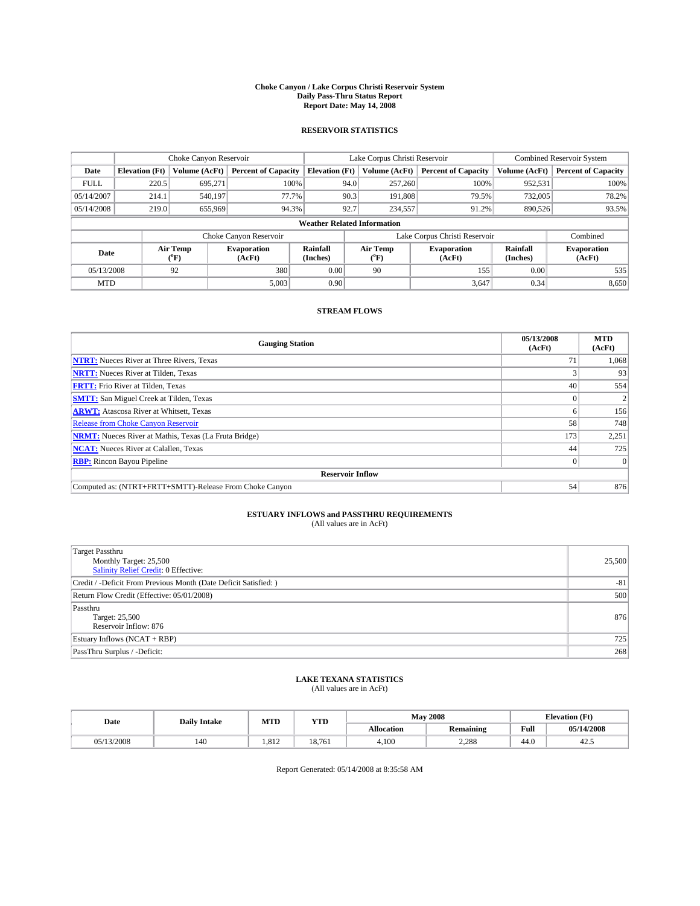#### **Choke Canyon / Lake Corpus Christi Reservoir System Daily Pass-Thru Status Report Report Date: May 14, 2008**

#### **RESERVOIR STATISTICS**

|             | Choke Canyon Reservoir             |                  |                              |                       | Lake Corpus Christi Reservoir | <b>Combined Reservoir System</b> |                             |                              |  |  |
|-------------|------------------------------------|------------------|------------------------------|-----------------------|-------------------------------|----------------------------------|-----------------------------|------------------------------|--|--|
| Date        | <b>Elevation</b> (Ft)              | Volume (AcFt)    | <b>Percent of Capacity</b>   | <b>Elevation</b> (Ft) | Volume (AcFt)                 | <b>Percent of Capacity</b>       | Volume (AcFt)               | <b>Percent of Capacity</b>   |  |  |
| <b>FULL</b> | 220.5                              | 695,271          | 100%                         |                       | 257,260<br>94.0               | 100%                             | 952,531                     | 100%                         |  |  |
| 05/14/2007  | 214.1                              | 540,197          | 77.7%                        |                       | 90.3<br>191,808               | 79.5%                            | 732,005                     | 78.2%                        |  |  |
| 05/14/2008  | 219.0                              | 655,969          | 94.3%                        | 92.7                  | 234,557                       | 91.2%                            | 890.526                     | 93.5%                        |  |  |
|             | <b>Weather Related Information</b> |                  |                              |                       |                               |                                  |                             |                              |  |  |
|             |                                    |                  | Choke Canyon Reservoir       |                       |                               | Lake Corpus Christi Reservoir    |                             | Combined                     |  |  |
| Date        |                                    | Air Temp<br>(°F) | <b>Evaporation</b><br>(AcFt) | Rainfall<br>(Inches)  | Air Temp<br>("F)              | <b>Evaporation</b><br>(AcFt)     | <b>Rainfall</b><br>(Inches) | <b>Evaporation</b><br>(AcFt) |  |  |
| 05/13/2008  |                                    | 92               | 380                          | 0.00                  | 90                            | 155                              | 0.00                        | 535                          |  |  |
| <b>MTD</b>  |                                    |                  | 5,003                        | 0.90                  |                               | 3,647                            | 0.34                        | 8,650                        |  |  |

### **STREAM FLOWS**

| <b>Gauging Station</b>                                       | 05/13/2008<br>(AcFt) | <b>MTD</b><br>(AcFt) |
|--------------------------------------------------------------|----------------------|----------------------|
| <b>NTRT:</b> Nueces River at Three Rivers, Texas             | 71                   | 1,068                |
| <b>NRTT:</b> Nueces River at Tilden, Texas                   |                      | 93                   |
| <b>FRTT:</b> Frio River at Tilden, Texas                     | 40                   | 554                  |
| <b>SMTT:</b> San Miguel Creek at Tilden, Texas               |                      |                      |
| <b>ARWT:</b> Atascosa River at Whitsett, Texas               | h.                   | 156                  |
| <b>Release from Choke Canyon Reservoir</b>                   | 58                   | 748                  |
| <b>NRMT:</b> Nueces River at Mathis, Texas (La Fruta Bridge) | 173                  | 2,251                |
| <b>NCAT:</b> Nueces River at Calallen, Texas                 | 44                   | 725                  |
| <b>RBP:</b> Rincon Bayou Pipeline                            | $\overline{0}$       |                      |
| <b>Reservoir Inflow</b>                                      |                      |                      |
| Computed as: (NTRT+FRTT+SMTT)-Release From Choke Canyon      | 54                   | 876                  |

# **ESTUARY INFLOWS and PASSTHRU REQUIREMENTS**<br>(All values are in AcFt)

| Target Passthru<br>Monthly Target: 25,500                        | 25,500 |
|------------------------------------------------------------------|--------|
| <b>Salinity Relief Credit: 0 Effective:</b>                      |        |
| Credit / -Deficit From Previous Month (Date Deficit Satisfied: ) | $-81$  |
| Return Flow Credit (Effective: 05/01/2008)                       | 500    |
| Passthru                                                         |        |
| Target: 25,500                                                   | 876    |
| Reservoir Inflow: 876                                            |        |
| Estuary Inflows (NCAT + RBP)                                     | 725    |
| PassThru Surplus / -Deficit:                                     | 268    |

## **LAKE TEXANA STATISTICS** (All values are in AcFt)

| Date       | <b>Daily Intake</b> | MTD  | YTD    |                   | <b>May 2008</b>  |                                         |            |
|------------|---------------------|------|--------|-------------------|------------------|-----------------------------------------|------------|
|            |                     |      |        | <b>Allocation</b> | <b>Remaining</b> | Full<br>the contract of the contract of | 05/14/2008 |
| 05/13/2008 | 140                 | .812 | 18.761 | 4.100             | 2.288            | 44.0                                    | 42.3       |

Report Generated: 05/14/2008 at 8:35:58 AM